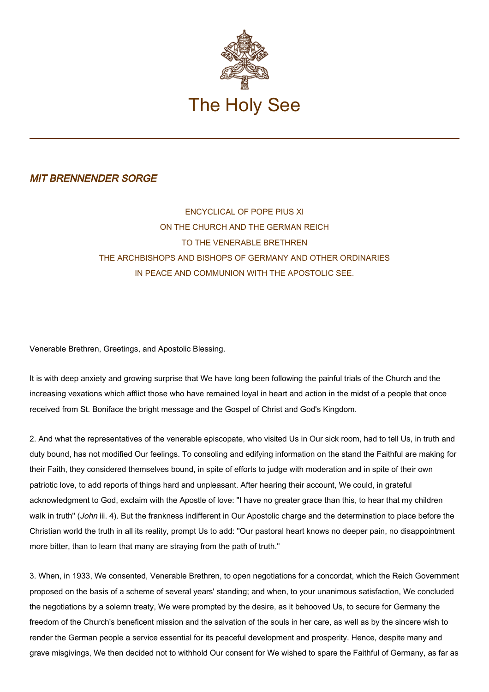

## **MIT BRENNENDER SORGE**

ENCYCLICAL OF POPE PIUS XI ON THE CHURCH AND THE GERMAN REICH TO THE VENERABLE BRETHREN THE ARCHBISHOPS AND BISHOPS OF GERMANY AND OTHER ORDINARIES IN PEACE AND COMMUNION WITH THE APOSTOLIC SEE.

Venerable Brethren, Greetings, and Apostolic Blessing.

It is with deep anxiety and growing surprise that We have long been following the painful trials of the Church and the increasing vexations which afflict those who have remained loyal in heart and action in the midst of a people that once received from St. Boniface the bright message and the Gospel of Christ and God's Kingdom.

2. And what the representatives of the venerable episcopate, who visited Us in Our sick room, had to tell Us, in truth and duty bound, has not modified Our feelings. To consoling and edifying information on the stand the Faithful are making for their Faith, they considered themselves bound, in spite of efforts to judge with moderation and in spite of their own patriotic love, to add reports of things hard and unpleasant. After hearing their account, We could, in grateful acknowledgment to God, exclaim with the Apostle of love: "I have no greater grace than this, to hear that my children walk in truth" (John iii. 4). But the frankness indifferent in Our Apostolic charge and the determination to place before the Christian world the truth in all its reality, prompt Us to add: "Our pastoral heart knows no deeper pain, no disappointment more bitter, than to learn that many are straying from the path of truth."

3. When, in 1933, We consented, Venerable Brethren, to open negotiations for a concordat, which the Reich Government proposed on the basis of a scheme of several years' standing; and when, to your unanimous satisfaction, We concluded the negotiations by a solemn treaty, We were prompted by the desire, as it behooved Us, to secure for Germany the freedom of the Church's beneficent mission and the salvation of the souls in her care, as well as by the sincere wish to render the German people a service essential for its peaceful development and prosperity. Hence, despite many and grave misgivings, We then decided not to withhold Our consent for We wished to spare the Faithful of Germany, as far as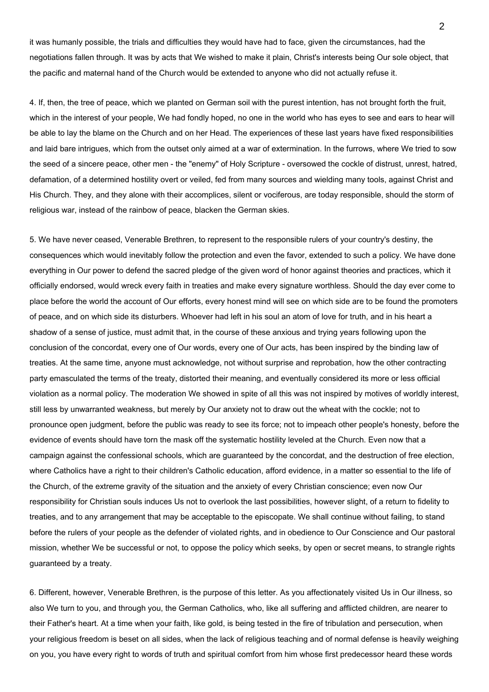it was humanly possible, the trials and difficulties they would have had to face, given the circumstances, had the negotiations fallen through. It was by acts that We wished to make it plain, Christ's interests being Our sole object, that the pacific and maternal hand of the Church would be extended to anyone who did not actually refuse it.

4. If, then, the tree of peace, which we planted on German soil with the purest intention, has not brought forth the fruit, which in the interest of your people, We had fondly hoped, no one in the world who has eyes to see and ears to hear will be able to lay the blame on the Church and on her Head. The experiences of these last years have fixed responsibilities and laid bare intrigues, which from the outset only aimed at a war of extermination. In the furrows, where We tried to sow the seed of a sincere peace, other men - the "enemy" of Holy Scripture - oversowed the cockle of distrust, unrest, hatred, defamation, of a determined hostility overt or veiled, fed from many sources and wielding many tools, against Christ and His Church. They, and they alone with their accomplices, silent or vociferous, are today responsible, should the storm of religious war, instead of the rainbow of peace, blacken the German skies.

5. We have never ceased, Venerable Brethren, to represent to the responsible rulers of your country's destiny, the consequences which would inevitably follow the protection and even the favor, extended to such a policy. We have done everything in Our power to defend the sacred pledge of the given word of honor against theories and practices, which it officially endorsed, would wreck every faith in treaties and make every signature worthless. Should the day ever come to place before the world the account of Our efforts, every honest mind will see on which side are to be found the promoters of peace, and on which side its disturbers. Whoever had left in his soul an atom of love for truth, and in his heart a shadow of a sense of justice, must admit that, in the course of these anxious and trying years following upon the conclusion of the concordat, every one of Our words, every one of Our acts, has been inspired by the binding law of treaties. At the same time, anyone must acknowledge, not without surprise and reprobation, how the other contracting party emasculated the terms of the treaty, distorted their meaning, and eventually considered its more or less official violation as a normal policy. The moderation We showed in spite of all this was not inspired by motives of worldly interest, still less by unwarranted weakness, but merely by Our anxiety not to draw out the wheat with the cockle; not to pronounce open judgment, before the public was ready to see its force; not to impeach other people's honesty, before the evidence of events should have torn the mask off the systematic hostility leveled at the Church. Even now that a campaign against the confessional schools, which are guaranteed by the concordat, and the destruction of free election, where Catholics have a right to their children's Catholic education, afford evidence, in a matter so essential to the life of the Church, of the extreme gravity of the situation and the anxiety of every Christian conscience; even now Our responsibility for Christian souls induces Us not to overlook the last possibilities, however slight, of a return to fidelity to treaties, and to any arrangement that may be acceptable to the episcopate. We shall continue without failing, to stand before the rulers of your people as the defender of violated rights, and in obedience to Our Conscience and Our pastoral mission, whether We be successful or not, to oppose the policy which seeks, by open or secret means, to strangle rights guaranteed by a treaty.

6. Different, however, Venerable Brethren, is the purpose of this letter. As you affectionately visited Us in Our illness, so also We turn to you, and through you, the German Catholics, who, like all suffering and afflicted children, are nearer to their Father's heart. At a time when your faith, like gold, is being tested in the fire of tribulation and persecution, when your religious freedom is beset on all sides, when the lack of religious teaching and of normal defense is heavily weighing on you, you have every right to words of truth and spiritual comfort from him whose first predecessor heard these words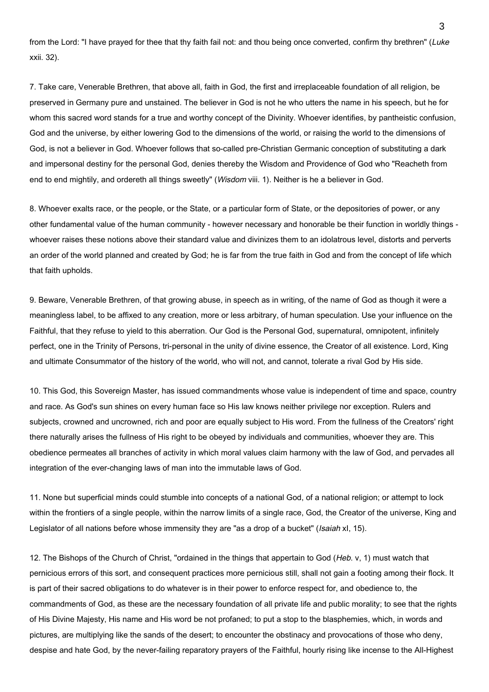from the Lord: "I have prayed for thee that thy faith fail not: and thou being once converted, confirm thy brethren" (Luke xxii. 32).

7. Take care, Venerable Brethren, that above all, faith in God, the first and irreplaceable foundation of all religion, be preserved in Germany pure and unstained. The believer in God is not he who utters the name in his speech, but he for whom this sacred word stands for a true and worthy concept of the Divinity. Whoever identifies, by pantheistic confusion, God and the universe, by either lowering God to the dimensions of the world, or raising the world to the dimensions of God, is not a believer in God. Whoever follows that so-called pre-Christian Germanic conception of substituting a dark and impersonal destiny for the personal God, denies thereby the Wisdom and Providence of God who "Reacheth from end to end mightily, and ordereth all things sweetly" (Wisdom viii. 1). Neither is he a believer in God.

8. Whoever exalts race, or the people, or the State, or a particular form of State, or the depositories of power, or any other fundamental value of the human community - however necessary and honorable be their function in worldly things whoever raises these notions above their standard value and divinizes them to an idolatrous level, distorts and perverts an order of the world planned and created by God; he is far from the true faith in God and from the concept of life which that faith upholds.

9. Beware, Venerable Brethren, of that growing abuse, in speech as in writing, of the name of God as though it were a meaningless label, to be affixed to any creation, more or less arbitrary, of human speculation. Use your influence on the Faithful, that they refuse to yield to this aberration. Our God is the Personal God, supernatural, omnipotent, infinitely perfect, one in the Trinity of Persons, tri-personal in the unity of divine essence, the Creator of all existence. Lord, King and ultimate Consummator of the history of the world, who will not, and cannot, tolerate a rival God by His side.

10. This God, this Sovereign Master, has issued commandments whose value is independent of time and space, country and race. As God's sun shines on every human face so His law knows neither privilege nor exception. Rulers and subjects, crowned and uncrowned, rich and poor are equally subject to His word. From the fullness of the Creators' right there naturally arises the fullness of His right to be obeyed by individuals and communities, whoever they are. This obedience permeates all branches of activity in which moral values claim harmony with the law of God, and pervades all integration of the ever-changing laws of man into the immutable laws of God.

11. None but superficial minds could stumble into concepts of a national God, of a national religion; or attempt to lock within the frontiers of a single people, within the narrow limits of a single race, God, the Creator of the universe, King and Legislator of all nations before whose immensity they are "as a drop of a bucket" (Isaiah xl, 15).

12. The Bishops of the Church of Christ, "ordained in the things that appertain to God (Heb. v, 1) must watch that pernicious errors of this sort, and consequent practices more pernicious still, shall not gain a footing among their flock. It is part of their sacred obligations to do whatever is in their power to enforce respect for, and obedience to, the commandments of God, as these are the necessary foundation of all private life and public morality; to see that the rights of His Divine Majesty, His name and His word be not profaned; to put a stop to the blasphemies, which, in words and pictures, are multiplying like the sands of the desert; to encounter the obstinacy and provocations of those who deny, despise and hate God, by the never-failing reparatory prayers of the Faithful, hourly rising like incense to the All-Highest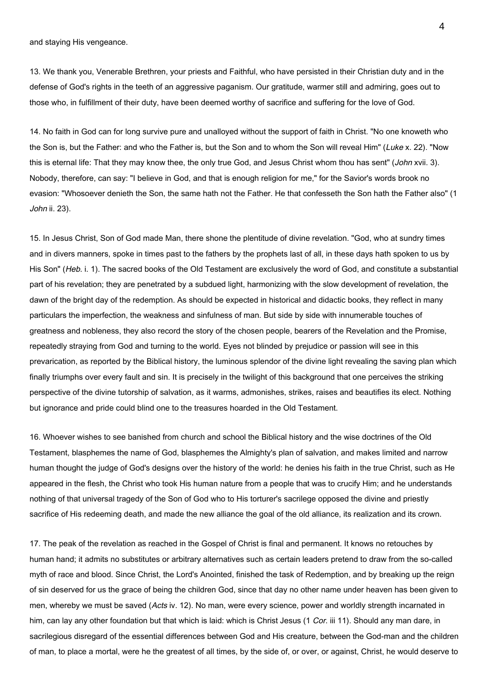and staying His vengeance.

13. We thank you, Venerable Brethren, your priests and Faithful, who have persisted in their Christian duty and in the defense of God's rights in the teeth of an aggressive paganism. Our gratitude, warmer still and admiring, goes out to those who, in fulfillment of their duty, have been deemed worthy of sacrifice and suffering for the love of God.

14. No faith in God can for long survive pure and unalloyed without the support of faith in Christ. "No one knoweth who the Son is, but the Father: and who the Father is, but the Son and to whom the Son will reveal Him" (Luke x. 22). "Now this is eternal life: That they may know thee, the only true God, and Jesus Christ whom thou has sent" (John xvii. 3). Nobody, therefore, can say: "I believe in God, and that is enough religion for me," for the Savior's words brook no evasion: "Whosoever denieth the Son, the same hath not the Father. He that confesseth the Son hath the Father also" (1 John ii. 23).

15. In Jesus Christ, Son of God made Man, there shone the plentitude of divine revelation. "God, who at sundry times and in divers manners, spoke in times past to the fathers by the prophets last of all, in these days hath spoken to us by His Son" (Heb. i. 1). The sacred books of the Old Testament are exclusively the word of God, and constitute a substantial part of his revelation; they are penetrated by a subdued light, harmonizing with the slow development of revelation, the dawn of the bright day of the redemption. As should be expected in historical and didactic books, they reflect in many particulars the imperfection, the weakness and sinfulness of man. But side by side with innumerable touches of greatness and nobleness, they also record the story of the chosen people, bearers of the Revelation and the Promise, repeatedly straying from God and turning to the world. Eyes not blinded by prejudice or passion will see in this prevarication, as reported by the Biblical history, the luminous splendor of the divine light revealing the saving plan which finally triumphs over every fault and sin. It is precisely in the twilight of this background that one perceives the striking perspective of the divine tutorship of salvation, as it warms, admonishes, strikes, raises and beautifies its elect. Nothing but ignorance and pride could blind one to the treasures hoarded in the Old Testament.

16. Whoever wishes to see banished from church and school the Biblical history and the wise doctrines of the Old Testament, blasphemes the name of God, blasphemes the Almighty's plan of salvation, and makes limited and narrow human thought the judge of God's designs over the history of the world: he denies his faith in the true Christ, such as He appeared in the flesh, the Christ who took His human nature from a people that was to crucify Him; and he understands nothing of that universal tragedy of the Son of God who to His torturer's sacrilege opposed the divine and priestly sacrifice of His redeeming death, and made the new alliance the goal of the old alliance, its realization and its crown.

17. The peak of the revelation as reached in the Gospel of Christ is final and permanent. It knows no retouches by human hand; it admits no substitutes or arbitrary alternatives such as certain leaders pretend to draw from the so-called myth of race and blood. Since Christ, the Lord's Anointed, finished the task of Redemption, and by breaking up the reign of sin deserved for us the grace of being the children God, since that day no other name under heaven has been given to men, whereby we must be saved (Acts iv. 12). No man, were every science, power and worldly strength incarnated in him, can lay any other foundation but that which is laid: which is Christ Jesus (1 Cor. iii 11). Should any man dare, in sacrilegious disregard of the essential differences between God and His creature, between the God-man and the children of man, to place a mortal, were he the greatest of all times, by the side of, or over, or against, Christ, he would deserve to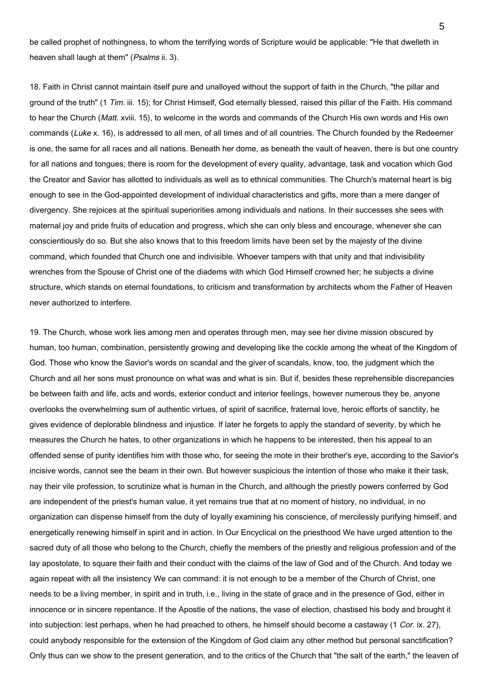be called prophet of nothingness, to whom the terrifying words of Scripture would be applicable: "He that dwelleth in heaven shall laugh at them" (Psalms ii. 3).

18. Faith in Christ cannot maintain itself pure and unalloyed without the support of faith in the Church, "the pillar and ground of the truth" (1 Tim. iii. 15); for Christ Himself, God eternally blessed, raised this pillar of the Faith. His command to hear the Church (Matt. xviii. 15), to welcome in the words and commands of the Church His own words and His own commands (Luke x. 16), is addressed to all men, of all times and of all countries. The Church founded by the Redeemer is one, the same for all races and all nations. Beneath her dome, as beneath the vault of heaven, there is but one country for all nations and tongues; there is room for the development of every quality, advantage, task and vocation which God the Creator and Savior has allotted to individuals as well as to ethnical communities. The Church's maternal heart is big enough to see in the God-appointed development of individual characteristics and gifts, more than a mere danger of divergency. She rejoices at the spiritual superiorities among individuals and nations. In their successes she sees with maternal joy and pride fruits of education and progress, which she can only bless and encourage, whenever she can conscientiously do so. But she also knows that to this freedom limits have been set by the majesty of the divine command, which founded that Church one and indivisible. Whoever tampers with that unity and that indivisibility wrenches from the Spouse of Christ one of the diadems with which God Himself crowned her; he subjects a divine structure, which stands on eternal foundations, to criticism and transformation by architects whom the Father of Heaven never authorized to interfere.

19. The Church, whose work lies among men and operates through men, may see her divine mission obscured by human, too human, combination, persistently growing and developing like the cockle among the wheat of the Kingdom of God. Those who know the Savior's words on scandal and the giver of scandals, know, too, the judgment which the Church and all her sons must pronounce on what was and what is sin. But if, besides these reprehensible discrepancies be between faith and life, acts and words, exterior conduct and interior feelings, however numerous they be, anyone overlooks the overwhelming sum of authentic virtues, of spirit of sacrifice, fraternal love, heroic efforts of sanctity, he gives evidence of deplorable blindness and injustice. If later he forgets to apply the standard of severity, by which he measures the Church he hates, to other organizations in which he happens to be interested, then his appeal to an offended sense of purity identifies him with those who, for seeing the mote in their brother's eye, according to the Savior's incisive words, cannot see the beam in their own. But however suspicious the intention of those who make it their task, nay their vile profession, to scrutinize what is human in the Church, and although the priestly powers conferred by God are independent of the priest's human value, it yet remains true that at no moment of history, no individual, in no organization can dispense himself from the duty of loyally examining his conscience, of mercilessly purifying himself, and energetically renewing himself in spirit and in action. In Our Encyclical on the priesthood We have urged attention to the sacred duty of all those who belong to the Church, chiefly the members of the priestly and religious profession and of the lay apostolate, to square their faith and their conduct with the claims of the law of God and of the Church. And today we again repeat with all the insistency We can command: it is not enough to be a member of the Church of Christ, one needs to be a living member, in spirit and in truth, i.e., living in the state of grace and in the presence of God, either in innocence or in sincere repentance. If the Apostle of the nations, the vase of election, chastised his body and brought it into subjection: lest perhaps, when he had preached to others, he himself should become a castaway (1 Cor. ix. 27), could anybody responsible for the extension of the Kingdom of God claim any other method but personal sanctification? Only thus can we show to the present generation, and to the critics of the Church that "the salt of the earth," the leaven of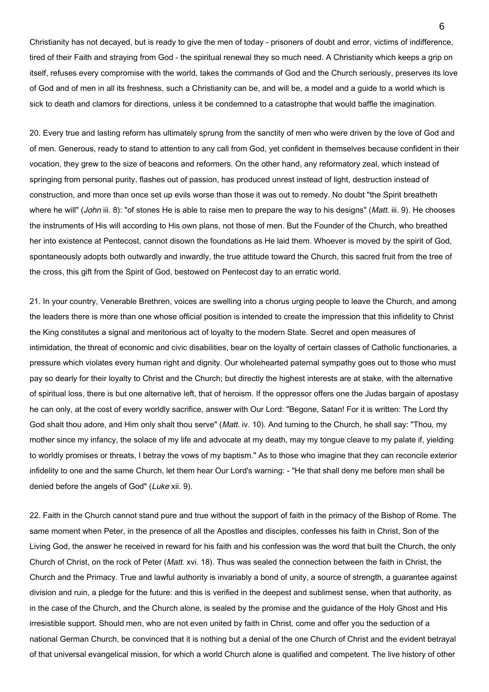Christianity has not decayed, but is ready to give the men of today - prisoners of doubt and error, victims of indifference, tired of their Faith and straying from God - the spiritual renewal they so much need. A Christianity which keeps a grip on itself, refuses every compromise with the world, takes the commands of God and the Church seriously, preserves its love of God and of men in all its freshness, such a Christianity can be, and will be, a model and a guide to a world which is sick to death and clamors for directions, unless it be condemned to a catastrophe that would baffle the imagination.

20. Every true and lasting reform has ultimately sprung from the sanctity of men who were driven by the love of God and of men. Generous, ready to stand to attention to any call from God, yet confident in themselves because confident in their vocation, they grew to the size of beacons and reformers. On the other hand, any reformatory zeal, which instead of springing from personal purity, flashes out of passion, has produced unrest instead of light, destruction instead of construction, and more than once set up evils worse than those it was out to remedy. No doubt "the Spirit breatheth where he will" (John iii. 8): "of stones He is able to raise men to prepare the way to his designs" (Matt. iii. 9). He chooses the instruments of His will according to His own plans, not those of men. But the Founder of the Church, who breathed her into existence at Pentecost, cannot disown the foundations as He laid them. Whoever is moved by the spirit of God, spontaneously adopts both outwardly and inwardly, the true attitude toward the Church, this sacred fruit from the tree of the cross, this gift from the Spirit of God, bestowed on Pentecost day to an erratic world.

21. In your country, Venerable Brethren, voices are swelling into a chorus urging people to leave the Church, and among the leaders there is more than one whose official position is intended to create the impression that this infidelity to Christ the King constitutes a signal and meritorious act of loyalty to the modern State. Secret and open measures of intimidation, the threat of economic and civic disabilities, bear on the loyalty of certain classes of Catholic functionaries, a pressure which violates every human right and dignity. Our wholehearted paternal sympathy goes out to those who must pay so dearly for their loyalty to Christ and the Church; but directly the highest interests are at stake, with the alternative of spiritual loss, there is but one alternative left, that of heroism. If the oppressor offers one the Judas bargain of apostasy he can only, at the cost of every worldly sacrifice, answer with Our Lord: "Begone, Satan! For it is written: The Lord thy God shalt thou adore, and Him only shalt thou serve" (Matt. iv. 10). And turning to the Church, he shall say: "Thou, my mother since my infancy, the solace of my life and advocate at my death, may my tongue cleave to my palate if, yielding to worldly promises or threats, I betray the vows of my baptism." As to those who imagine that they can reconcile exterior infidelity to one and the same Church, let them hear Our Lord's warning: - "He that shall deny me before men shall be denied before the angels of God" (Luke xii. 9).

22. Faith in the Church cannot stand pure and true without the support of faith in the primacy of the Bishop of Rome. The same moment when Peter, in the presence of all the Apostles and disciples, confesses his faith in Christ, Son of the Living God, the answer he received in reward for his faith and his confession was the word that built the Church, the only Church of Christ, on the rock of Peter (Matt. xvi. 18). Thus was sealed the connection between the faith in Christ, the Church and the Primacy. True and lawful authority is invariably a bond of unity, a source of strength, a guarantee against division and ruin, a pledge for the future: and this is verified in the deepest and sublimest sense, when that authority, as in the case of the Church, and the Church alone, is sealed by the promise and the guidance of the Holy Ghost and His irresistible support. Should men, who are not even united by faith in Christ, come and offer you the seduction of a national German Church, be convinced that it is nothing but a denial of the one Church of Christ and the evident betrayal of that universal evangelical mission, for which a world Church alone is qualified and competent. The live history of other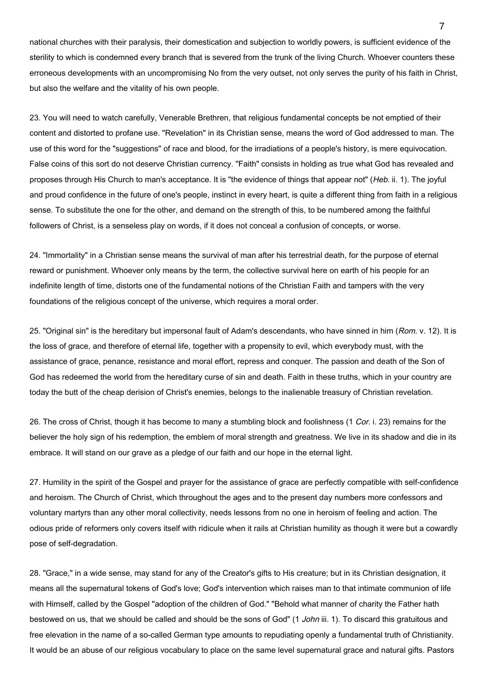national churches with their paralysis, their domestication and subjection to worldly powers, is sufficient evidence of the sterility to which is condemned every branch that is severed from the trunk of the living Church. Whoever counters these erroneous developments with an uncompromising No from the very outset, not only serves the purity of his faith in Christ, but also the welfare and the vitality of his own people.

23. You will need to watch carefully, Venerable Brethren, that religious fundamental concepts be not emptied of their content and distorted to profane use. "Revelation" in its Christian sense, means the word of God addressed to man. The use of this word for the "suggestions" of race and blood, for the irradiations of a people's history, is mere equivocation. False coins of this sort do not deserve Christian currency. "Faith" consists in holding as true what God has revealed and proposes through His Church to man's acceptance. It is "the evidence of things that appear not" (Heb. ii. 1). The joyful and proud confidence in the future of one's people, instinct in every heart, is quite a different thing from faith in a religious sense. To substitute the one for the other, and demand on the strength of this, to be numbered among the faithful followers of Christ, is a senseless play on words, if it does not conceal a confusion of concepts, or worse.

24. "Immortality" in a Christian sense means the survival of man after his terrestrial death, for the purpose of eternal reward or punishment. Whoever only means by the term, the collective survival here on earth of his people for an indefinite length of time, distorts one of the fundamental notions of the Christian Faith and tampers with the very foundations of the religious concept of the universe, which requires a moral order.

25. "Original sin" is the hereditary but impersonal fault of Adam's descendants, who have sinned in him (Rom. v. 12). It is the loss of grace, and therefore of eternal life, together with a propensity to evil, which everybody must, with the assistance of grace, penance, resistance and moral effort, repress and conquer. The passion and death of the Son of God has redeemed the world from the hereditary curse of sin and death. Faith in these truths, which in your country are today the butt of the cheap derision of Christ's enemies, belongs to the inalienable treasury of Christian revelation.

26. The cross of Christ, though it has become to many a stumbling block and foolishness (1 Cor. i. 23) remains for the believer the holy sign of his redemption, the emblem of moral strength and greatness. We live in its shadow and die in its embrace. It will stand on our grave as a pledge of our faith and our hope in the eternal light.

27. Humility in the spirit of the Gospel and prayer for the assistance of grace are perfectly compatible with self-confidence and heroism. The Church of Christ, which throughout the ages and to the present day numbers more confessors and voluntary martyrs than any other moral collectivity, needs lessons from no one in heroism of feeling and action. The odious pride of reformers only covers itself with ridicule when it rails at Christian humility as though it were but a cowardly pose of self-degradation.

28. "Grace," in a wide sense, may stand for any of the Creator's gifts to His creature; but in its Christian designation, it means all the supernatural tokens of God's love; God's intervention which raises man to that intimate communion of life with Himself, called by the Gospel "adoption of the children of God." "Behold what manner of charity the Father hath bestowed on us, that we should be called and should be the sons of God" (1 John iii. 1). To discard this gratuitous and free elevation in the name of a so-called German type amounts to repudiating openly a fundamental truth of Christianity. It would be an abuse of our religious vocabulary to place on the same level supernatural grace and natural gifts. Pastors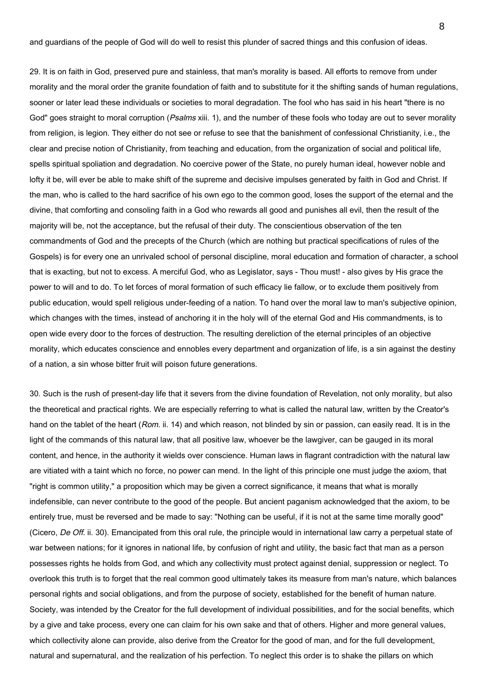and guardians of the people of God will do well to resist this plunder of sacred things and this confusion of ideas.

29. It is on faith in God, preserved pure and stainless, that man's morality is based. All efforts to remove from under morality and the moral order the granite foundation of faith and to substitute for it the shifting sands of human regulations, sooner or later lead these individuals or societies to moral degradation. The fool who has said in his heart "there is no God" goes straight to moral corruption (Psalms xiii. 1), and the number of these fools who today are out to sever morality from religion, is legion. They either do not see or refuse to see that the banishment of confessional Christianity, i.e., the clear and precise notion of Christianity, from teaching and education, from the organization of social and political life, spells spiritual spoliation and degradation. No coercive power of the State, no purely human ideal, however noble and lofty it be, will ever be able to make shift of the supreme and decisive impulses generated by faith in God and Christ. If the man, who is called to the hard sacrifice of his own ego to the common good, loses the support of the eternal and the divine, that comforting and consoling faith in a God who rewards all good and punishes all evil, then the result of the majority will be, not the acceptance, but the refusal of their duty. The conscientious observation of the ten commandments of God and the precepts of the Church (which are nothing but practical specifications of rules of the Gospels) is for every one an unrivaled school of personal discipline, moral education and formation of character, a school that is exacting, but not to excess. A merciful God, who as Legislator, says - Thou must! - also gives by His grace the power to will and to do. To let forces of moral formation of such efficacy lie fallow, or to exclude them positively from public education, would spell religious under-feeding of a nation. To hand over the moral law to man's subjective opinion, which changes with the times, instead of anchoring it in the holy will of the eternal God and His commandments, is to open wide every door to the forces of destruction. The resulting dereliction of the eternal principles of an objective morality, which educates conscience and ennobles every department and organization of life, is a sin against the destiny of a nation, a sin whose bitter fruit will poison future generations.

30. Such is the rush of present-day life that it severs from the divine foundation of Revelation, not only morality, but also the theoretical and practical rights. We are especially referring to what is called the natural law, written by the Creator's hand on the tablet of the heart (Rom. ii. 14) and which reason, not blinded by sin or passion, can easily read. It is in the light of the commands of this natural law, that all positive law, whoever be the lawgiver, can be gauged in its moral content, and hence, in the authority it wields over conscience. Human laws in flagrant contradiction with the natural law are vitiated with a taint which no force, no power can mend. In the light of this principle one must judge the axiom, that "right is common utility," a proposition which may be given a correct significance, it means that what is morally indefensible, can never contribute to the good of the people. But ancient paganism acknowledged that the axiom, to be entirely true, must be reversed and be made to say: "Nothing can be useful, if it is not at the same time morally good" (Cicero, De Off. ii. 30). Emancipated from this oral rule, the principle would in international law carry a perpetual state of war between nations; for it ignores in national life, by confusion of right and utility, the basic fact that man as a person possesses rights he holds from God, and which any collectivity must protect against denial, suppression or neglect. To overlook this truth is to forget that the real common good ultimately takes its measure from man's nature, which balances personal rights and social obligations, and from the purpose of society, established for the benefit of human nature. Society, was intended by the Creator for the full development of individual possibilities, and for the social benefits, which by a give and take process, every one can claim for his own sake and that of others. Higher and more general values, which collectivity alone can provide, also derive from the Creator for the good of man, and for the full development, natural and supernatural, and the realization of his perfection. To neglect this order is to shake the pillars on which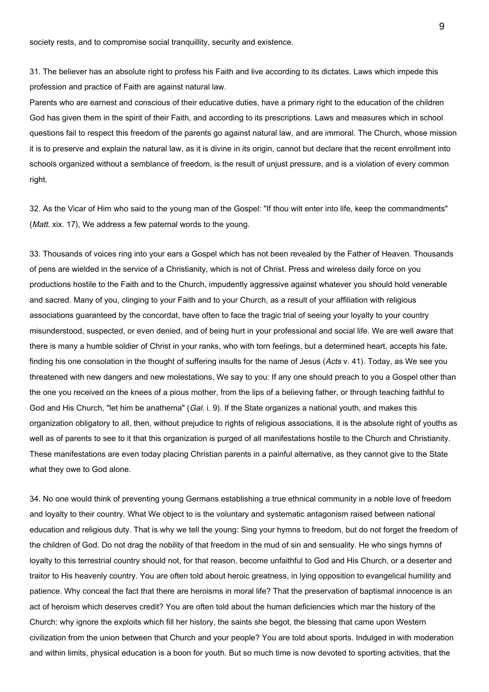society rests, and to compromise social tranquillity, security and existence.

31. The believer has an absolute right to profess his Faith and live according to its dictates. Laws which impede this profession and practice of Faith are against natural law.

Parents who are earnest and conscious of their educative duties, have a primary right to the education of the children God has given them in the spirit of their Faith, and according to its prescriptions. Laws and measures which in school questions fail to respect this freedom of the parents go against natural law, and are immoral. The Church, whose mission it is to preserve and explain the natural law, as it is divine in its origin, cannot but declare that the recent enrollment into schools organized without a semblance of freedom, is the result of unjust pressure, and is a violation of every common right.

32. As the Vicar of Him who said to the young man of the Gospel: "If thou wilt enter into life, keep the commandments" (Matt. xix. 17), We address a few paternal words to the young.

33. Thousands of voices ring into your ears a Gospel which has not been revealed by the Father of Heaven. Thousands of pens are wielded in the service of a Christianity, which is not of Christ. Press and wireless daily force on you productions hostile to the Faith and to the Church, impudently aggressive against whatever you should hold venerable and sacred. Many of you, clinging to your Faith and to your Church, as a result of your affiliation with religious associations guaranteed by the concordat, have often to face the tragic trial of seeing your loyalty to your country misunderstood, suspected, or even denied, and of being hurt in your professional and social life. We are well aware that there is many a humble soldier of Christ in your ranks, who with torn feelings, but a determined heart, accepts his fate, finding his one consolation in the thought of suffering insults for the name of Jesus (Acts v. 41). Today, as We see you threatened with new dangers and new molestations, We say to you: If any one should preach to you a Gospel other than the one you received on the knees of a pious mother, from the lips of a believing father, or through teaching faithful to God and His Church, "let him be anathema" (Gal. i. 9). If the State organizes a national youth, and makes this organization obligatory to all, then, without prejudice to rights of religious associations, it is the absolute right of youths as well as of parents to see to it that this organization is purged of all manifestations hostile to the Church and Christianity. These manifestations are even today placing Christian parents in a painful alternative, as they cannot give to the State what they owe to God alone.

34. No one would think of preventing young Germans establishing a true ethnical community in a noble love of freedom and loyalty to their country. What We object to is the voluntary and systematic antagonism raised between national education and religious duty. That is why we tell the young: Sing your hymns to freedom, but do not forget the freedom of the children of God. Do not drag the nobility of that freedom in the mud of sin and sensuality. He who sings hymns of loyalty to this terrestrial country should not, for that reason, become unfaithful to God and His Church, or a deserter and traitor to His heavenly country. You are often told about heroic greatness, in lying opposition to evangelical humility and patience. Why conceal the fact that there are heroisms in moral life? That the preservation of baptismal innocence is an act of heroism which deserves credit? You are often told about the human deficiencies which mar the history of the Church: why ignore the exploits which fill her history, the saints she begot, the blessing that came upon Western civilization from the union between that Church and your people? You are told about sports. Indulged in with moderation and within limits, physical education is a boon for youth. But so much time is now devoted to sporting activities, that the

9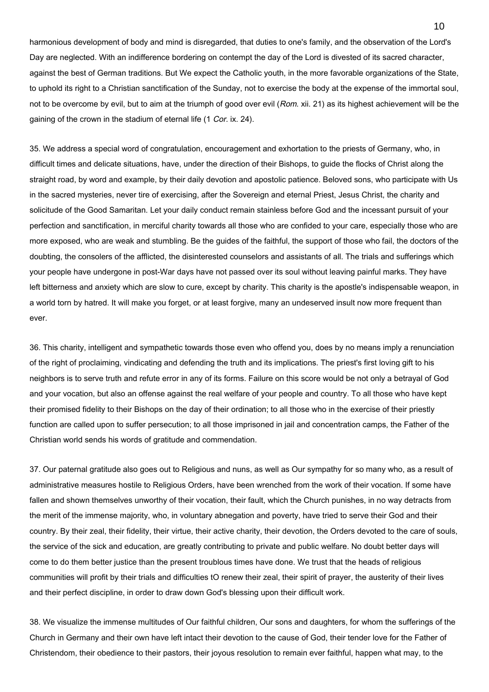harmonious development of body and mind is disregarded, that duties to one's family, and the observation of the Lord's Day are neglected. With an indifference bordering on contempt the day of the Lord is divested of its sacred character, against the best of German traditions. But We expect the Catholic youth, in the more favorable organizations of the State, to uphold its right to a Christian sanctification of the Sunday, not to exercise the body at the expense of the immortal soul, not to be overcome by evil, but to aim at the triumph of good over evil (Rom. xii. 21) as its highest achievement will be the gaining of the crown in the stadium of eternal life (1 Cor. ix. 24).

35. We address a special word of congratulation, encouragement and exhortation to the priests of Germany, who, in difficult times and delicate situations, have, under the direction of their Bishops, to guide the flocks of Christ along the straight road, by word and example, by their daily devotion and apostolic patience. Beloved sons, who participate with Us in the sacred mysteries, never tire of exercising, after the Sovereign and eternal Priest, Jesus Christ, the charity and solicitude of the Good Samaritan. Let your daily conduct remain stainless before God and the incessant pursuit of your perfection and sanctification, in merciful charity towards all those who are confided to your care, especially those who are more exposed, who are weak and stumbling. Be the guides of the faithful, the support of those who fail, the doctors of the doubting, the consolers of the afflicted, the disinterested counselors and assistants of all. The trials and sufferings which your people have undergone in post-War days have not passed over its soul without leaving painful marks. They have left bitterness and anxiety which are slow to cure, except by charity. This charity is the apostle's indispensable weapon, in a world torn by hatred. It will make you forget, or at least forgive, many an undeserved insult now more frequent than ever.

36. This charity, intelligent and sympathetic towards those even who offend you, does by no means imply a renunciation of the right of proclaiming, vindicating and defending the truth and its implications. The priest's first loving gift to his neighbors is to serve truth and refute error in any of its forms. Failure on this score would be not only a betrayal of God and your vocation, but also an offense against the real welfare of your people and country. To all those who have kept their promised fidelity to their Bishops on the day of their ordination; to all those who in the exercise of their priestly function are called upon to suffer persecution; to all those imprisoned in jail and concentration camps, the Father of the Christian world sends his words of gratitude and commendation.

37. Our paternal gratitude also goes out to Religious and nuns, as well as Our sympathy for so many who, as a result of administrative measures hostile to Religious Orders, have been wrenched from the work of their vocation. If some have fallen and shown themselves unworthy of their vocation, their fault, which the Church punishes, in no way detracts from the merit of the immense majority, who, in voluntary abnegation and poverty, have tried to serve their God and their country. By their zeal, their fidelity, their virtue, their active charity, their devotion, the Orders devoted to the care of souls, the service of the sick and education, are greatly contributing to private and public welfare. No doubt better days will come to do them better justice than the present troublous times have done. We trust that the heads of religious communities will profit by their trials and difficulties tO renew their zeal, their spirit of prayer, the austerity of their lives and their perfect discipline, in order to draw down God's blessing upon their difficult work.

38. We visualize the immense multitudes of Our faithful children, Our sons and daughters, for whom the sufferings of the Church in Germany and their own have left intact their devotion to the cause of God, their tender love for the Father of Christendom, their obedience to their pastors, their joyous resolution to remain ever faithful, happen what may, to the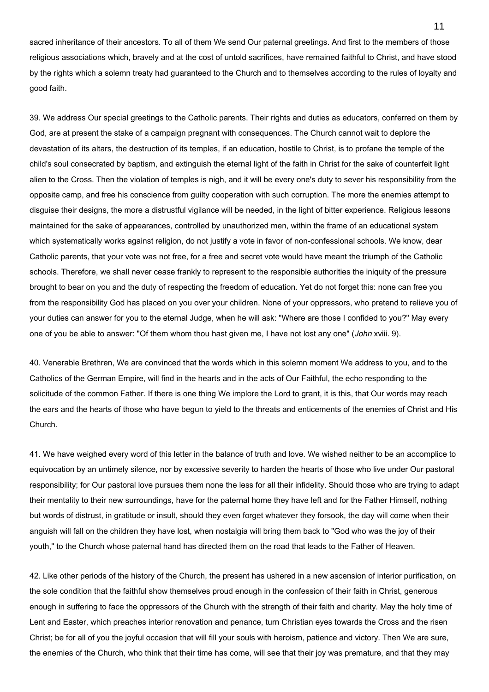sacred inheritance of their ancestors. To all of them We send Our paternal greetings. And first to the members of those religious associations which, bravely and at the cost of untold sacrifices, have remained faithful to Christ, and have stood by the rights which a solemn treaty had guaranteed to the Church and to themselves according to the rules of loyalty and good faith.

39. We address Our special greetings to the Catholic parents. Their rights and duties as educators, conferred on them by God, are at present the stake of a campaign pregnant with consequences. The Church cannot wait to deplore the devastation of its altars, the destruction of its temples, if an education, hostile to Christ, is to profane the temple of the child's soul consecrated by baptism, and extinguish the eternal light of the faith in Christ for the sake of counterfeit light alien to the Cross. Then the violation of temples is nigh, and it will be every one's duty to sever his responsibility from the opposite camp, and free his conscience from guilty cooperation with such corruption. The more the enemies attempt to disguise their designs, the more a distrustful vigilance will be needed, in the light of bitter experience. Religious lessons maintained for the sake of appearances, controlled by unauthorized men, within the frame of an educational system which systematically works against religion, do not justify a vote in favor of non-confessional schools. We know, dear Catholic parents, that your vote was not free, for a free and secret vote would have meant the triumph of the Catholic schools. Therefore, we shall never cease frankly to represent to the responsible authorities the iniquity of the pressure brought to bear on you and the duty of respecting the freedom of education. Yet do not forget this: none can free you from the responsibility God has placed on you over your children. None of your oppressors, who pretend to relieve you of your duties can answer for you to the eternal Judge, when he will ask: "Where are those I confided to you?" May every one of you be able to answer: "Of them whom thou hast given me, I have not lost any one" (John xviii. 9).

40. Venerable Brethren, We are convinced that the words which in this solemn moment We address to you, and to the Catholics of the German Empire, will find in the hearts and in the acts of Our Faithful, the echo responding to the solicitude of the common Father. If there is one thing We implore the Lord to grant, it is this, that Our words may reach the ears and the hearts of those who have begun to yield to the threats and enticements of the enemies of Christ and His Church.

41. We have weighed every word of this letter in the balance of truth and love. We wished neither to be an accomplice to equivocation by an untimely silence, nor by excessive severity to harden the hearts of those who live under Our pastoral responsibility; for Our pastoral love pursues them none the less for all their infidelity. Should those who are trying to adapt their mentality to their new surroundings, have for the paternal home they have left and for the Father Himself, nothing but words of distrust, in gratitude or insult, should they even forget whatever they forsook, the day will come when their anguish will fall on the children they have lost, when nostalgia will bring them back to "God who was the joy of their youth," to the Church whose paternal hand has directed them on the road that leads to the Father of Heaven.

42. Like other periods of the history of the Church, the present has ushered in a new ascension of interior purification, on the sole condition that the faithful show themselves proud enough in the confession of their faith in Christ, generous enough in suffering to face the oppressors of the Church with the strength of their faith and charity. May the holy time of Lent and Easter, which preaches interior renovation and penance, turn Christian eyes towards the Cross and the risen Christ; be for all of you the joyful occasion that will fill your souls with heroism, patience and victory. Then We are sure, the enemies of the Church, who think that their time has come, will see that their joy was premature, and that they may